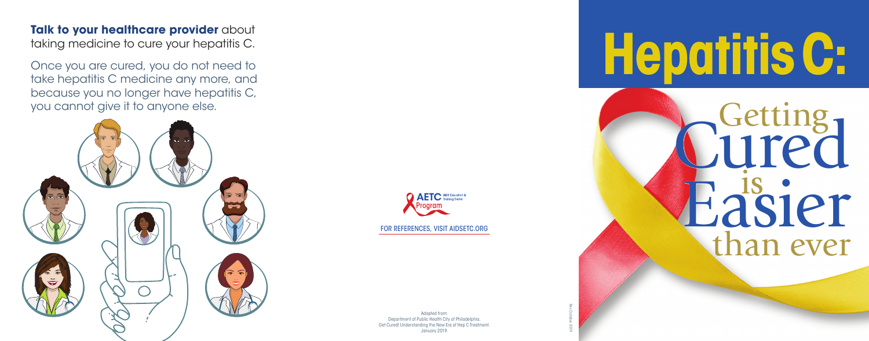**Talk to your healthcare provider** about taking medicine to cure your hepatitis C.

Once you are cured, you do not need to take hepatitis C medicine any more, and because you no longer have hepatitis C, you cannot give it to anyone else.



FOR REFERENCES, VISIT AIDSETC.ORG

Adapted from: Department of Public Health City of Philadelphia. Get Cured! Understanding the New Era of Hep C Treatment. January 2019.

Rev October 2019

**HepatitisC:**

Getting Cured<br>Easier than ever Easier